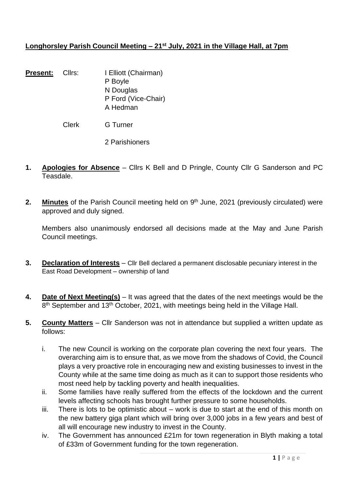# **Longhorsley Parish Council Meeting – 21st July, 2021 in the Village Hall, at 7pm**

**Present:** Cllrs: I Elliott (Chairman) P Boyle N Douglas P Ford (Vice-Chair) A Hedman

Clerk G Turner

2 Parishioners

- **1. Apologies for Absence** Cllrs K Bell and D Pringle, County Cllr G Sanderson and PC Teasdale.
- 2. Minutes of the Parish Council meeting held on 9<sup>th</sup> June, 2021 (previously circulated) were approved and duly signed.

Members also unanimously endorsed all decisions made at the May and June Parish Council meetings.

- **3. Declaration of Interests** Cllr Bell declared a permanent disclosable pecuniary interest in the East Road Development – ownership of land
- **4. Date of Next Meeting(s)** It was agreed that the dates of the next meetings would be the 8<sup>th</sup> September and 13<sup>th</sup> October, 2021, with meetings being held in the Village Hall.
- **5. County Matters** Cllr Sanderson was not in attendance but supplied a written update as follows:
	- i. The new Council is working on the corporate plan covering the next four years. The overarching aim is to ensure that, as we move from the shadows of Covid, the Council plays a very proactive role in encouraging new and existing businesses to invest in the County while at the same time doing as much as it can to support those residents who most need help by tackling poverty and health inequalities.
	- ii. Some families have really suffered from the effects of the lockdown and the current levels affecting schools has brought further pressure to some households.
	- iii. There is lots to be optimistic about work is due to start at the end of this month on the new battery giga plant which will bring over 3,000 jobs in a few years and best of all will encourage new industry to invest in the County.
	- iv. The Government has announced £21m for town regeneration in Blyth making a total of £33m of Government funding for the town regeneration.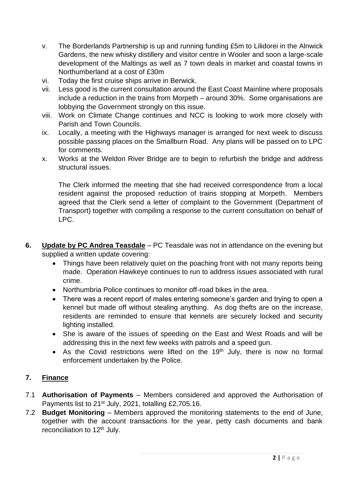- v. The Borderlands Partnership is up and running funding £5m to Lilidorei in the Alnwick Gardens, the new whisky distillery and visitor centre in Wooler and soon a large-scale development of the Maltings as well as 7 town deals in market and coastal towns in Northumberland at a cost of £30m
- vi. Today the first cruise ships arrive in Berwick.
- vii. Less good is the current consultation around the East Coast Mainline where proposals include a reduction in the trains from Morpeth – around 30%. Some organisations are lobbying the Government strongly on this issue.
- viii. Work on Climate Change continues and NCC is looking to work more closely with Parish and Town Councils.
- ix. Locally, a meeting with the Highways manager is arranged for next week to discuss possible passing places on the Smallburn Road. Any plans will be passed on to LPC for comments.
- x. Works at the Weldon River Bridge are to begin to refurbish the bridge and address structural issues.

The Clerk informed the meeting that she had received correspondence from a local resident against the proposed reduction of trains stopping at Morpeth. Members agreed that the Clerk send a letter of complaint to the Government (Department of Transport) together with compiling a response to the current consultation on behalf of LPC.

- **6. Update by PC Andrea Teasdale** PC Teasdale was not in attendance on the evening but supplied a written update covering:
	- Things have been relatively quiet on the poaching front with not many reports being made. Operation Hawkeye continues to run to address issues associated with rural crime.
	- Northumbria Police continues to monitor off-road bikes in the area.
	- There was a recent report of males entering someone's garden and trying to open a kennel but made off without stealing anything. As dog thefts are on the increase, residents are reminded to ensure that kennels are securely locked and security lighting installed.
	- She is aware of the issues of speeding on the East and West Roads and will be addressing this in the next few weeks with patrols and a speed gun.
	- As the Covid restrictions were lifted on the  $19<sup>th</sup>$  July, there is now no formal enforcement undertaken by the Police.

# **7. Finance**

- 7.1 **Authorisation of Payments** Members considered and approved the Authorisation of Payments list to 21<sup>st</sup> July, 2021, totalling £2,705.16.
- 7.2 **Budget Monitoring** Members approved the monitoring statements to the end of June, together with the account transactions for the year, petty cash documents and bank reconciliation to 12<sup>th</sup> July.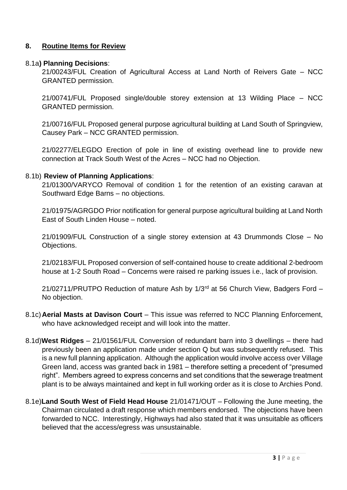### **8. Routine Items for Review**

#### 8.1a**) Planning Decisions**:

21/00243/FUL Creation of Agricultural Access at Land North of Reivers Gate – NCC GRANTED permission.

21/00741/FUL Proposed single/double storey extension at 13 Wilding Place – NCC GRANTED permission.

21/00716/FUL Proposed general purpose agricultural building at Land South of Springview, Causey Park – NCC GRANTED permission.

21/02277/ELEGDO Erection of pole in line of existing overhead line to provide new connection at Track South West of the Acres – NCC had no Objection.

### 8.1b) **Review of Planning Applications**:

21/01300/VARYCO Removal of condition 1 for the retention of an existing caravan at Southward Edge Barns – no objections.

21/01975/AGRGDO Prior notification for general purpose agricultural building at Land North East of South Linden House – noted.

21/01909/FUL Construction of a single storey extension at 43 Drummonds Close – No Objections.

21/02183/FUL Proposed conversion of self-contained house to create additional 2-bedroom house at 1-2 South Road – Concerns were raised re parking issues i.e., lack of provision.

21/02711/PRUTPO Reduction of mature Ash by 1/3<sup>rd</sup> at 56 Church View, Badgers Ford -No objection.

- 8.1c)**Aerial Masts at Davison Court** This issue was referred to NCC Planning Enforcement, who have acknowledged receipt and will look into the matter.
- 8.1d)**West Ridges** 21/01561/FUL Conversion of redundant barn into 3 dwellings there had previously been an application made under section Q but was subsequently refused. This is a new full planning application. Although the application would involve access over Village Green land, access was granted back in 1981 – therefore setting a precedent of "presumed right". Members agreed to express concerns and set conditions that the sewerage treatment plant is to be always maintained and kept in full working order as it is close to Archies Pond.
- 8.1e)**Land South West of Field Head House** 21/01471/OUT Following the June meeting, the Chairman circulated a draft response which members endorsed. The objections have been forwarded to NCC. Interestingly, Highways had also stated that it was unsuitable as officers believed that the access/egress was unsustainable.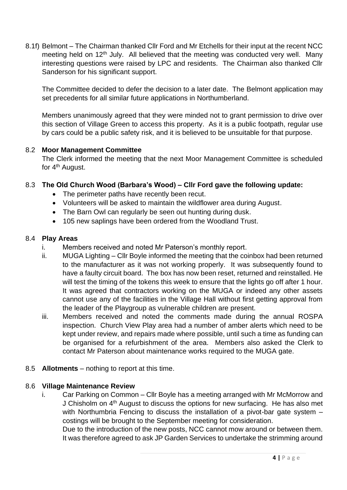8.1f) Belmont – The Chairman thanked Cllr Ford and Mr Etchells for their input at the recent NCC meeting held on 12<sup>th</sup> July. All believed that the meeting was conducted very well. Many interesting questions were raised by LPC and residents. The Chairman also thanked Cllr Sanderson for his significant support.

The Committee decided to defer the decision to a later date. The Belmont application may set precedents for all similar future applications in Northumberland.

Members unanimously agreed that they were minded not to grant permission to drive over this section of Village Green to access this property. As it is a public footpath, regular use by cars could be a public safety risk, and it is believed to be unsuitable for that purpose.

## 8.2 **Moor Management Committee**

The Clerk informed the meeting that the next Moor Management Committee is scheduled for 4<sup>th</sup> August.

## 8.3 **The Old Church Wood (Barbara's Wood) – Cllr Ford gave the following update:**

- The perimeter paths have recently been recut.
- Volunteers will be asked to maintain the wildflower area during August.
- The Barn Owl can regularly be seen out hunting during dusk.
- 105 new saplings have been ordered from the Woodland Trust.

#### 8.4 **Play Areas**

- i. Members received and noted Mr Paterson's monthly report.
- ii. MUGA Lighting Cllr Boyle informed the meeting that the coinbox had been returned to the manufacturer as it was not working properly. It was subsequently found to have a faulty circuit board. The box has now been reset, returned and reinstalled. He will test the timing of the tokens this week to ensure that the lights go off after 1 hour. It was agreed that contractors working on the MUGA or indeed any other assets cannot use any of the facilities in the Village Hall without first getting approval from the leader of the Playgroup as vulnerable children are present.
- iii. Members received and noted the comments made during the annual ROSPA inspection. Church View Play area had a number of amber alerts which need to be kept under review, and repairs made where possible, until such a time as funding can be organised for a refurbishment of the area. Members also asked the Clerk to contact Mr Paterson about maintenance works required to the MUGA gate.
- 8.5 **Allotments** nothing to report at this time.

### 8.6 **Village Maintenance Review**

i. Car Parking on Common – Cllr Boyle has a meeting arranged with Mr McMorrow and J Chisholm on 4<sup>th</sup> August to discuss the options for new surfacing. He has also met with Northumbria Fencing to discuss the installation of a pivot-bar gate system costings will be brought to the September meeting for consideration.

Due to the introduction of the new posts, NCC cannot mow around or between them. It was therefore agreed to ask JP Garden Services to undertake the strimming around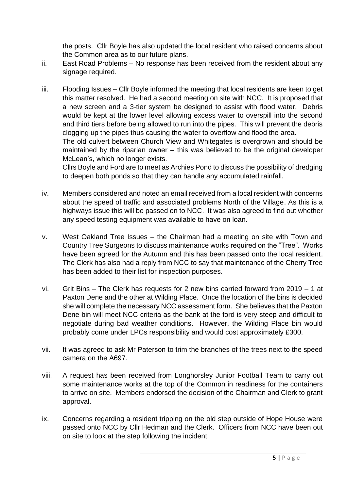the posts. Cllr Boyle has also updated the local resident who raised concerns about the Common area as to our future plans.

- ii. East Road Problems No response has been received from the resident about any signage required.
- iii. Flooding Issues Cllr Boyle informed the meeting that local residents are keen to get this matter resolved. He had a second meeting on site with NCC. It is proposed that a new screen and a 3-tier system be designed to assist with flood water. Debris would be kept at the lower level allowing excess water to overspill into the second and third tiers before being allowed to run into the pipes. This will prevent the debris clogging up the pipes thus causing the water to overflow and flood the area. The old culvert between Church View and Whitegates is overgrown and should be maintained by the riparian owner – this was believed to be the original developer McLean's, which no longer exists.

Cllrs Boyle and Ford are to meet as Archies Pond to discuss the possibility of dredging to deepen both ponds so that they can handle any accumulated rainfall.

- iv. Members considered and noted an email received from a local resident with concerns about the speed of traffic and associated problems North of the Village. As this is a highways issue this will be passed on to NCC. It was also agreed to find out whether any speed testing equipment was available to have on loan.
- v. West Oakland Tree Issues the Chairman had a meeting on site with Town and Country Tree Surgeons to discuss maintenance works required on the "Tree". Works have been agreed for the Autumn and this has been passed onto the local resident. The Clerk has also had a reply from NCC to say that maintenance of the Cherry Tree has been added to their list for inspection purposes.
- vi. Grit Bins The Clerk has requests for 2 new bins carried forward from 2019 1 at Paxton Dene and the other at Wilding Place. Once the location of the bins is decided she will complete the necessary NCC assessment form. She believes that the Paxton Dene bin will meet NCC criteria as the bank at the ford is very steep and difficult to negotiate during bad weather conditions. However, the Wilding Place bin would probably come under LPCs responsibility and would cost approximately £300.
- vii. It was agreed to ask Mr Paterson to trim the branches of the trees next to the speed camera on the A697.
- viii. A request has been received from Longhorsley Junior Football Team to carry out some maintenance works at the top of the Common in readiness for the containers to arrive on site. Members endorsed the decision of the Chairman and Clerk to grant approval.
- ix. Concerns regarding a resident tripping on the old step outside of Hope House were passed onto NCC by Cllr Hedman and the Clerk. Officers from NCC have been out on site to look at the step following the incident.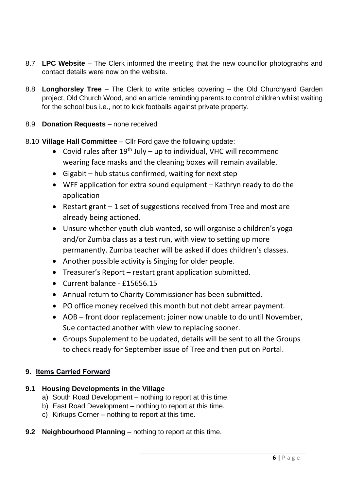- 8.7 **LPC Website** The Clerk informed the meeting that the new councillor photographs and contact details were now on the website.
- 8.8 **Longhorsley Tree** The Clerk to write articles covering the Old Churchyard Garden project, Old Church Wood, and an article reminding parents to control children whilst waiting for the school bus i.e., not to kick footballs against private property.

# 8.9 **Donation Requests** – none received

- 8.10 **Village Hall Committee** Cllr Ford gave the following update:
	- Covid rules after  $19^{th}$  July up to individual, VHC will recommend wearing face masks and the cleaning boxes will remain available.
	- Gigabit hub status confirmed, waiting for next step
	- WFF application for extra sound equipment Kathryn ready to do the application
	- Restart grant 1 set of suggestions received from Tree and most are already being actioned.
	- Unsure whether youth club wanted, so will organise a children's yoga and/or Zumba class as a test run, with view to setting up more permanently. Zumba teacher will be asked if does children's classes.
	- Another possible activity is Singing for older people.
	- Treasurer's Report restart grant application submitted.
	- Current balance £15656.15
	- Annual return to Charity Commissioner has been submitted.
	- PO office money received this month but not debt arrear payment.
	- AOB front door replacement: joiner now unable to do until November, Sue contacted another with view to replacing sooner.
	- Groups Supplement to be updated, details will be sent to all the Groups to check ready for September issue of Tree and then put on Portal.

## **9. Items Carried Forward**

## **9.1 Housing Developments in the Village**

- a) South Road Development nothing to report at this time.
- b) East Road Development nothing to report at this time.
- c) Kirkups Corner nothing to report at this time.
- **9.2 Neighbourhood Planning** nothing to report at this time.